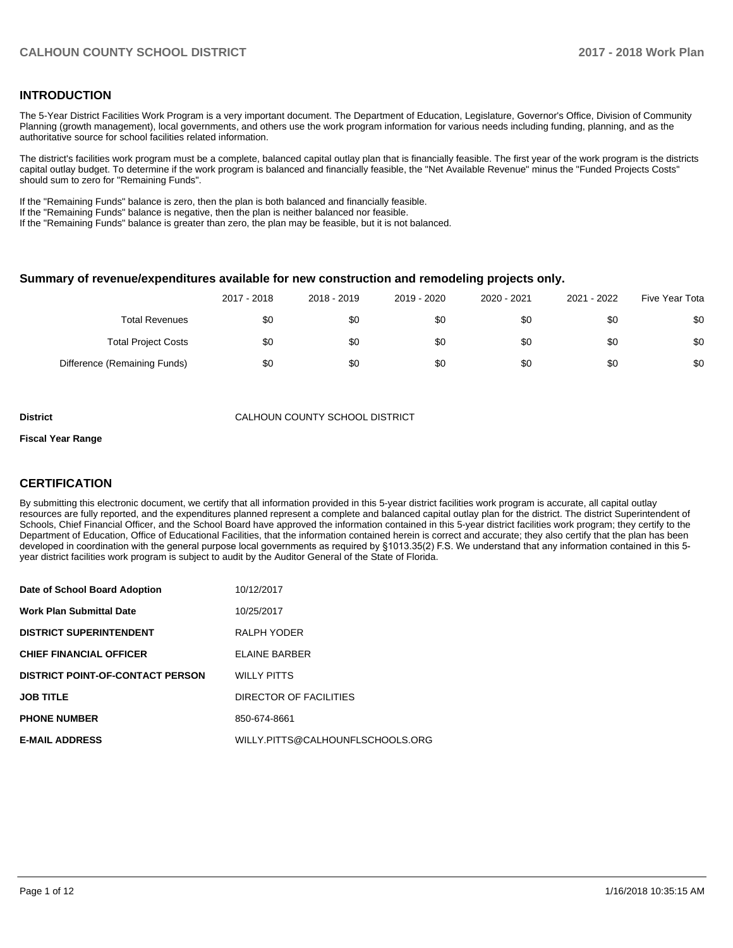#### **INTRODUCTION**

The 5-Year District Facilities Work Program is a very important document. The Department of Education, Legislature, Governor's Office, Division of Community Planning (growth management), local governments, and others use the work program information for various needs including funding, planning, and as the authoritative source for school facilities related information.

The district's facilities work program must be a complete, balanced capital outlay plan that is financially feasible. The first year of the work program is the districts capital outlay budget. To determine if the work program is balanced and financially feasible, the "Net Available Revenue" minus the "Funded Projects Costs" should sum to zero for "Remaining Funds".

If the "Remaining Funds" balance is zero, then the plan is both balanced and financially feasible.

If the "Remaining Funds" balance is negative, then the plan is neither balanced nor feasible.

If the "Remaining Funds" balance is greater than zero, the plan may be feasible, but it is not balanced.

#### **Summary of revenue/expenditures available for new construction and remodeling projects only.**

|                              | 2017 - 2018 | 2018 - 2019 | 2019 - 2020 | 2020 - 2021 | 2021 - 2022 | Five Year Tota |
|------------------------------|-------------|-------------|-------------|-------------|-------------|----------------|
| <b>Total Revenues</b>        | \$0         | \$0         | \$0         | \$0         | \$0         | \$0            |
| <b>Total Project Costs</b>   | \$0         | \$0         | \$0         | \$0         | \$0         | \$0            |
| Difference (Remaining Funds) | \$0         | \$0         | \$0         | \$0         | \$0         | \$0            |

**District** CALHOUN COUNTY SCHOOL DISTRICT

#### **Fiscal Year Range**

### **CERTIFICATION**

By submitting this electronic document, we certify that all information provided in this 5-year district facilities work program is accurate, all capital outlay resources are fully reported, and the expenditures planned represent a complete and balanced capital outlay plan for the district. The district Superintendent of Schools, Chief Financial Officer, and the School Board have approved the information contained in this 5-year district facilities work program; they certify to the Department of Education, Office of Educational Facilities, that the information contained herein is correct and accurate; they also certify that the plan has been developed in coordination with the general purpose local governments as required by §1013.35(2) F.S. We understand that any information contained in this 5year district facilities work program is subject to audit by the Auditor General of the State of Florida.

| Date of School Board Adoption           | 10/12/2017                       |
|-----------------------------------------|----------------------------------|
| <b>Work Plan Submittal Date</b>         | 10/25/2017                       |
| <b>DISTRICT SUPERINTENDENT</b>          | RALPH YODER                      |
| <b>CHIEF FINANCIAL OFFICER</b>          | <b>ELAINE BARBER</b>             |
| <b>DISTRICT POINT-OF-CONTACT PERSON</b> | <b>WILLY PITTS</b>               |
| <b>JOB TITLE</b>                        | DIRECTOR OF FACILITIES           |
| <b>PHONE NUMBER</b>                     | 850-674-8661                     |
| <b>E-MAIL ADDRESS</b>                   | WILLY.PITTS@CALHOUNFLSCHOOLS.ORG |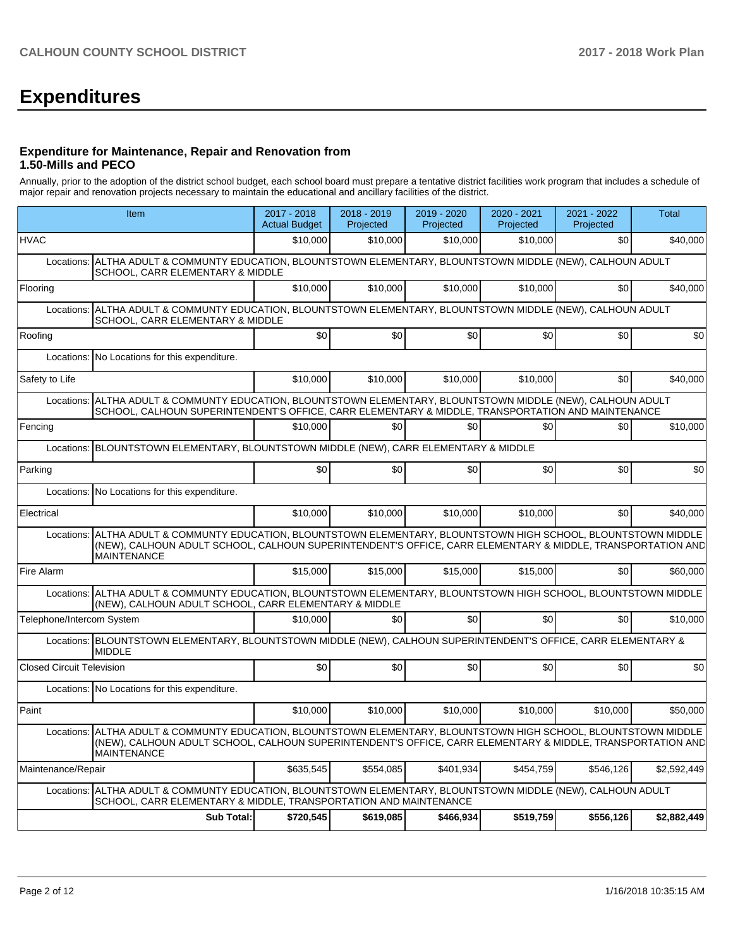# **Expenditures**

#### **Expenditure for Maintenance, Repair and Renovation from 1.50-Mills and PECO**

Annually, prior to the adoption of the district school budget, each school board must prepare a tentative district facilities work program that includes a schedule of major repair and renovation projects necessary to maintain the educational and ancillary facilities of the district.

| Item                                                                                                                                                                                                                                                    | 2017 - 2018<br><b>Actual Budget</b>                                                                                                   | 2018 - 2019<br>Projected | 2019 - 2020<br>Projected | 2020 - 2021<br>Projected | 2021 - 2022<br>Projected | Total       |  |  |
|---------------------------------------------------------------------------------------------------------------------------------------------------------------------------------------------------------------------------------------------------------|---------------------------------------------------------------------------------------------------------------------------------------|--------------------------|--------------------------|--------------------------|--------------------------|-------------|--|--|
| <b>HVAC</b>                                                                                                                                                                                                                                             | \$10,000                                                                                                                              | \$10,000                 | \$10,000                 | \$10,000                 | \$0                      | \$40,000    |  |  |
| ALTHA ADULT & COMMUNTY EDUCATION, BLOUNTSTOWN ELEMENTARY, BLOUNTSTOWN MIDDLE (NEW), CALHOUN ADULT<br>Locations:<br>SCHOOL, CARR ELEMENTARY & MIDDLE                                                                                                     |                                                                                                                                       |                          |                          |                          |                          |             |  |  |
| Flooring                                                                                                                                                                                                                                                | \$10,000                                                                                                                              | \$10,000                 | \$10,000                 | \$10,000                 | \$0                      | \$40,000    |  |  |
| Locations:                                                                                                                                                                                                                                              | ALTHA ADULT & COMMUNTY EDUCATION, BLOUNTSTOWN ELEMENTARY, BLOUNTSTOWN MIDDLE (NEW), CALHOUN ADULT<br>SCHOOL, CARR ELEMENTARY & MIDDLE |                          |                          |                          |                          |             |  |  |
| Roofing                                                                                                                                                                                                                                                 | \$0                                                                                                                                   | \$0                      | \$0                      | \$0                      | \$0                      | \$0         |  |  |
| No Locations for this expenditure.<br>Locations:                                                                                                                                                                                                        |                                                                                                                                       |                          |                          |                          |                          |             |  |  |
| Safety to Life                                                                                                                                                                                                                                          | \$10,000                                                                                                                              | \$10,000                 | \$10,000                 | \$10,000                 | \$0                      | \$40,000    |  |  |
| ALTHA ADULT & COMMUNTY EDUCATION, BLOUNTSTOWN ELEMENTARY, BLOUNTSTOWN MIDDLE (NEW), CALHOUN ADULT<br>Locations:<br>SCHOOL, CALHOUN SUPERINTENDENT'S OFFICE, CARR ELEMENTARY & MIDDLE, TRANSPORTATION AND MAINTENANCE                                    |                                                                                                                                       |                          |                          |                          |                          |             |  |  |
| Fencing                                                                                                                                                                                                                                                 | \$10,000                                                                                                                              | \$0                      | \$0                      | \$0                      | \$0                      | \$10,000    |  |  |
| BLOUNTSTOWN ELEMENTARY, BLOUNTSTOWN MIDDLE (NEW), CARR ELEMENTARY & MIDDLE<br>Locations:                                                                                                                                                                |                                                                                                                                       |                          |                          |                          |                          |             |  |  |
| Parking                                                                                                                                                                                                                                                 | \$0                                                                                                                                   | \$0                      | \$0                      | \$0                      | \$0                      | \$0         |  |  |
| Locations:<br>No Locations for this expenditure.                                                                                                                                                                                                        |                                                                                                                                       |                          |                          |                          |                          |             |  |  |
| Electrical                                                                                                                                                                                                                                              | \$10,000                                                                                                                              | \$10,000                 | \$10,000                 | \$10,000                 | \$0                      | \$40,000    |  |  |
| ALTHA ADULT & COMMUNTY EDUCATION, BLOUNTSTOWN ELEMENTARY, BLOUNTSTOWN HIGH SCHOOL, BLOUNTSTOWN MIDDLE<br>Locations:<br>(NEW), CALHOUN ADULT SCHOOL, CALHOUN SUPERINTENDENT'S OFFICE, CARR ELEMENTARY & MIDDLE, TRANSPORTATION AND<br><b>MAINTENANCE</b> |                                                                                                                                       |                          |                          |                          |                          |             |  |  |
| Fire Alarm                                                                                                                                                                                                                                              | \$15,000                                                                                                                              | \$15,000                 | \$15,000                 | \$15,000                 | \$0                      | \$60,000    |  |  |
| Locations: ALTHA ADULT & COMMUNTY EDUCATION, BLOUNTSTOWN ELEMENTARY, BLOUNTSTOWN HIGH SCHOOL, BLOUNTSTOWN MIDDLE<br>(NEW), CALHOUN ADULT SCHOOL, CARR ELEMENTARY & MIDDLE                                                                               |                                                                                                                                       |                          |                          |                          |                          |             |  |  |
| Telephone/Intercom System                                                                                                                                                                                                                               | \$10,000                                                                                                                              | \$0                      | \$0                      | \$0                      | \$0                      | \$10,000    |  |  |
| Locations: BLOUNTSTOWN ELEMENTARY, BLOUNTSTOWN MIDDLE (NEW), CALHOUN SUPERINTENDENT'S OFFICE, CARR ELEMENTARY &<br><b>MIDDLE</b>                                                                                                                        |                                                                                                                                       |                          |                          |                          |                          |             |  |  |
| <b>Closed Circuit Television</b>                                                                                                                                                                                                                        | \$0 <sub>1</sub>                                                                                                                      | \$0                      | \$0                      | \$0                      | \$0                      | \$0         |  |  |
| Locations: No Locations for this expenditure.                                                                                                                                                                                                           |                                                                                                                                       |                          |                          |                          |                          |             |  |  |
| Paint                                                                                                                                                                                                                                                   | \$10,000                                                                                                                              | \$10,000                 | \$10,000                 | \$10,000                 | \$10,000                 | \$50,000    |  |  |
| ALTHA ADULT & COMMUNTY EDUCATION, BLOUNTSTOWN ELEMENTARY, BLOUNTSTOWN HIGH SCHOOL, BLOUNTSTOWN MIDDLE<br>Locations:<br>(NEW), CALHOUN ADULT SCHOOL, CALHOUN SUPERINTENDENT'S OFFICE, CARR ELEMENTARY & MIDDLE, TRANSPORTATION AND<br><b>MAINTENANCE</b> |                                                                                                                                       |                          |                          |                          |                          |             |  |  |
| Maintenance/Repair                                                                                                                                                                                                                                      | \$635,545                                                                                                                             | \$554,085                | \$401,934                | \$454,759                | \$546,126                | \$2,592,449 |  |  |
| ALTHA ADULT & COMMUNTY EDUCATION, BLOUNTSTOWN ELEMENTARY, BLOUNTSTOWN MIDDLE (NEW), CALHOUN ADULT<br>Locations:<br>SCHOOL, CARR ELEMENTARY & MIDDLE, TRANSPORTATION AND MAINTENANCE                                                                     |                                                                                                                                       |                          |                          |                          |                          |             |  |  |
| Sub Total:                                                                                                                                                                                                                                              | \$720,545                                                                                                                             | \$619,085                | \$466,934                | \$519,759                | \$556,126                | \$2,882,449 |  |  |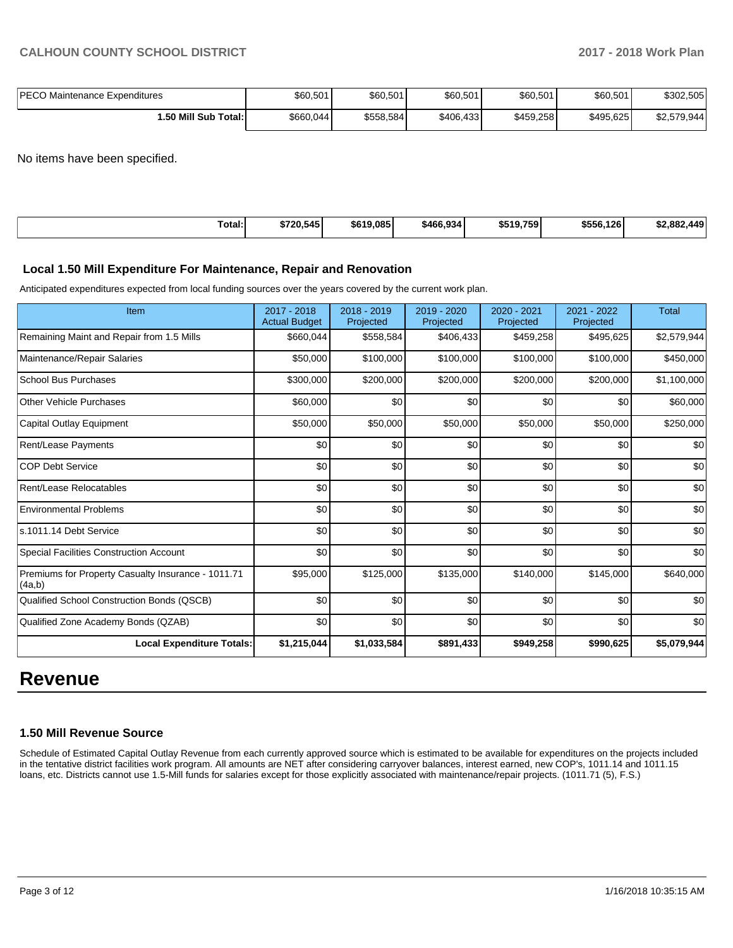| <b>IPECO Maintenance Expenditures</b> | \$60,501   | \$60,501  | \$60,501  | \$60,501  | \$60,501  | \$302,505   |
|---------------------------------------|------------|-----------|-----------|-----------|-----------|-------------|
| 1.50 Mill Sub Total: I                | \$660,044] | \$558,584 | \$406,433 | \$459,258 | \$495.625 | \$2,579,944 |

No items have been specified.

| \$556.126<br>Total:<br>\$720.545<br>\$619,085<br>\$466.934<br>\$519.759<br><b>440</b><br>. 882<br>. .<br>. |
|------------------------------------------------------------------------------------------------------------|
|------------------------------------------------------------------------------------------------------------|

# **Local 1.50 Mill Expenditure For Maintenance, Repair and Renovation**

Anticipated expenditures expected from local funding sources over the years covered by the current work plan.

| Item                                                         | 2017 - 2018<br><b>Actual Budget</b> | 2018 - 2019<br>Projected | 2019 - 2020<br>Projected | 2020 - 2021<br>Projected | $2021 - 2022$<br>Projected | <b>Total</b> |
|--------------------------------------------------------------|-------------------------------------|--------------------------|--------------------------|--------------------------|----------------------------|--------------|
| Remaining Maint and Repair from 1.5 Mills                    | \$660,044                           | \$558,584                | \$406,433                | \$459,258                | \$495,625                  | \$2,579,944  |
| Maintenance/Repair Salaries                                  | \$50,000                            | \$100,000                | \$100,000                | \$100,000                | \$100,000                  | \$450,000    |
| <b>School Bus Purchases</b>                                  | \$300,000                           | \$200,000                | \$200,000                | \$200,000                | \$200,000                  | \$1,100,000  |
| Other Vehicle Purchases                                      | \$60,000                            | \$0                      | \$0                      | \$0                      | \$0                        | \$60,000     |
| Capital Outlay Equipment                                     | \$50,000                            | \$50,000                 | \$50,000                 | \$50,000                 | \$50,000                   | \$250,000    |
| Rent/Lease Payments                                          | \$0                                 | \$0                      | \$0                      | \$0                      | \$0                        | \$0          |
| <b>COP Debt Service</b>                                      | \$0                                 | \$0                      | \$0                      | \$0                      | \$0                        | \$0          |
| Rent/Lease Relocatables                                      | \$0                                 | \$0                      | \$0                      | \$0                      | \$0                        | \$0          |
| <b>Environmental Problems</b>                                | \$0                                 | \$0                      | \$0                      | \$0                      | \$0                        | \$0          |
| ls.1011.14 Debt Service                                      | \$0                                 | \$0                      | \$0                      | \$0                      | \$0                        | \$0          |
| <b>Special Facilities Construction Account</b>               | \$0                                 | \$0                      | \$0                      | \$0                      | \$0                        | \$0          |
| Premiums for Property Casualty Insurance - 1011.71<br>(4a,b) | \$95,000                            | \$125,000                | \$135,000                | \$140,000                | \$145,000                  | \$640,000    |
| Qualified School Construction Bonds (QSCB)                   | \$0                                 | \$0                      | \$0                      | \$0                      | \$0                        | \$0          |
| Qualified Zone Academy Bonds (QZAB)                          | \$0                                 | \$0                      | \$0                      | \$0                      | \$0                        | \$0          |
| <b>Local Expenditure Totals:</b>                             | \$1,215,044                         | \$1,033,584              | \$891,433                | \$949,258                | \$990,625                  | \$5,079,944  |

# **Revenue**

#### **1.50 Mill Revenue Source**

Schedule of Estimated Capital Outlay Revenue from each currently approved source which is estimated to be available for expenditures on the projects included in the tentative district facilities work program. All amounts are NET after considering carryover balances, interest earned, new COP's, 1011.14 and 1011.15 loans, etc. Districts cannot use 1.5-Mill funds for salaries except for those explicitly associated with maintenance/repair projects. (1011.71 (5), F.S.)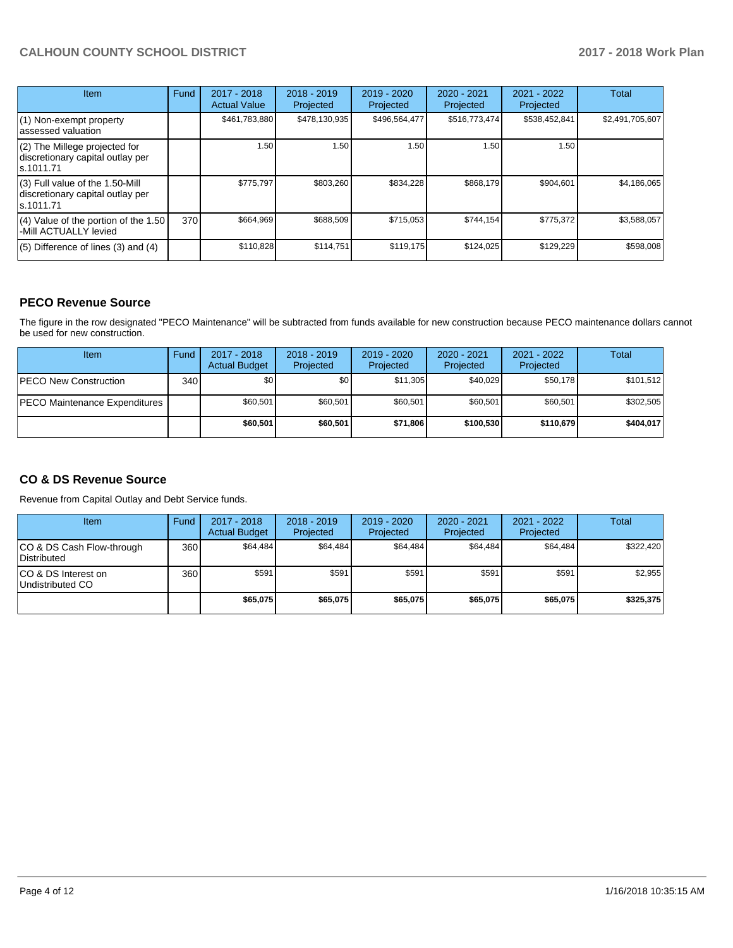# **CALHOUN COUNTY SCHOOL DISTRICT 2017 - 2018 Work Plan**

| <b>Item</b>                                                                         | Fund | $2017 - 2018$<br><b>Actual Value</b> | $2018 - 2019$<br>Projected | $2019 - 2020$<br>Projected | $2020 - 2021$<br>Projected | 2021 - 2022<br>Projected | <b>Total</b>    |
|-------------------------------------------------------------------------------------|------|--------------------------------------|----------------------------|----------------------------|----------------------------|--------------------------|-----------------|
| (1) Non-exempt property<br>lassessed valuation                                      |      | \$461,783,880                        | \$478,130,935              | \$496,564,477              | \$516,773,474              | \$538,452,841            | \$2,491,705,607 |
| (2) The Millege projected for<br>discretionary capital outlay per<br>ls.1011.71     |      | 1.50                                 | 1.50                       | 1.50                       | 1.50                       | 1.50                     |                 |
| $(3)$ Full value of the 1.50-Mill<br>discretionary capital outlay per<br>ls.1011.71 |      | \$775.797                            | \$803,260                  | \$834,228                  | \$868,179                  | \$904,601                | \$4,186,065     |
| $(4)$ Value of the portion of the 1.50<br>-Mill ACTUALLY levied                     | 370  | \$664,969                            | \$688,509                  | \$715,053                  | \$744,154                  | \$775,372                | \$3,588,057     |
| $(5)$ Difference of lines $(3)$ and $(4)$                                           |      | \$110,828                            | \$114,751                  | \$119,175                  | \$124,025                  | \$129,229                | \$598,008       |

### **PECO Revenue Source**

The figure in the row designated "PECO Maintenance" will be subtracted from funds available for new construction because PECO maintenance dollars cannot be used for new construction.

| Item                           | Fund | 2017 - 2018<br><b>Actual Budget</b> | $2018 - 2019$<br>Projected | $2019 - 2020$<br>Projected | $2020 - 2021$<br>Projected | $2021 - 2022$<br>Projected | <b>Total</b> |
|--------------------------------|------|-------------------------------------|----------------------------|----------------------------|----------------------------|----------------------------|--------------|
| <b>IPECO New Construction</b>  | 340I | \$0                                 | \$0                        | \$11.305                   | \$40.029                   | \$50,178                   | \$101,512    |
| IPECO Maintenance Expenditures |      | \$60.501                            | \$60,501                   | \$60.501                   | \$60,501                   | \$60.501                   | \$302,505    |
|                                |      | \$60,501                            | \$60,501                   | \$71.806                   | \$100.530                  | \$110.679                  | \$404.017    |

### **CO & DS Revenue Source**

Revenue from Capital Outlay and Debt Service funds.

| <b>Item</b>                              | Fund | $2017 - 2018$<br><b>Actual Budget</b> | $2018 - 2019$<br>Projected | 2019 - 2020<br>Projected | $2020 - 2021$<br>Projected | $2021 - 2022$<br>Projected | Total     |
|------------------------------------------|------|---------------------------------------|----------------------------|--------------------------|----------------------------|----------------------------|-----------|
| CO & DS Cash Flow-through<br>Distributed | 360  | \$64.484                              | \$64,484                   | \$64,484                 | \$64.484                   | \$64.484                   | \$322.420 |
| ICO & DS Interest on<br>Undistributed CO | 360  | \$591                                 | \$591                      | \$591                    | \$591                      | \$591                      | \$2,955   |
|                                          |      | \$65,075                              | \$65,075                   | \$65,075                 | \$65.075                   | \$65,075                   | \$325.375 |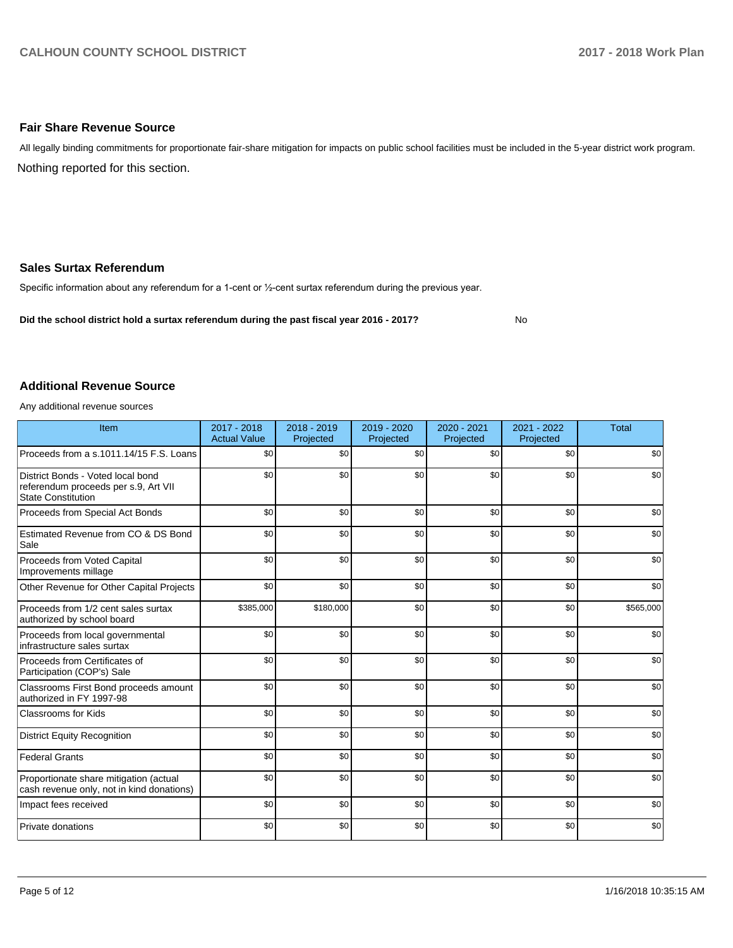#### **Fair Share Revenue Source**

Nothing reported for this section. All legally binding commitments for proportionate fair-share mitigation for impacts on public school facilities must be included in the 5-year district work program.

#### **Sales Surtax Referendum**

Specific information about any referendum for a 1-cent or 1/2-cent surtax referendum during the previous year.

**Did the school district hold a surtax referendum during the past fiscal year 2016 - 2017?**

No

#### **Additional Revenue Source**

Any additional revenue sources

| Item                                                                                                   | $2017 - 2018$<br><b>Actual Value</b> | $2018 - 2019$<br>Projected | 2019 - 2020<br>Projected | 2020 - 2021<br>Projected | 2021 - 2022<br>Projected | <b>Total</b> |
|--------------------------------------------------------------------------------------------------------|--------------------------------------|----------------------------|--------------------------|--------------------------|--------------------------|--------------|
| Proceeds from a s.1011.14/15 F.S. Loans                                                                | \$0                                  | \$0                        | \$0                      | \$0                      | \$0                      | \$0          |
| District Bonds - Voted local bond<br>referendum proceeds per s.9, Art VII<br><b>State Constitution</b> | \$0                                  | \$0                        | \$0                      | \$0                      | \$0                      | \$0          |
| Proceeds from Special Act Bonds                                                                        | \$0                                  | \$0                        | \$0                      | \$0                      | \$0                      | \$0          |
| Estimated Revenue from CO & DS Bond<br>Sale                                                            | \$0                                  | \$0                        | \$0                      | \$0                      | \$0                      | \$0          |
| Proceeds from Voted Capital<br>Improvements millage                                                    | \$0                                  | \$0                        | \$0                      | \$0                      | \$0                      | \$0          |
| Other Revenue for Other Capital Projects                                                               | \$0                                  | \$0                        | \$0                      | \$0                      | \$0                      | \$0          |
| Proceeds from 1/2 cent sales surtax<br>authorized by school board                                      | \$385,000                            | \$180,000                  | \$0                      | \$0                      | \$0                      | \$565,000    |
| Proceeds from local governmental<br>infrastructure sales surtax                                        | \$0                                  | \$0                        | \$0                      | \$0                      | \$0                      | \$0          |
| Proceeds from Certificates of<br>Participation (COP's) Sale                                            | \$0                                  | \$0                        | \$0                      | \$0                      | \$0                      | \$0          |
| Classrooms First Bond proceeds amount<br>authorized in FY 1997-98                                      | \$0                                  | \$0                        | \$0                      | \$0                      | \$0                      | \$0          |
| <b>Classrooms for Kids</b>                                                                             | \$0                                  | \$0                        | \$0                      | \$0                      | \$0                      | \$0          |
| <b>District Equity Recognition</b>                                                                     | \$0                                  | \$0                        | \$0                      | \$0                      | \$0                      | \$0          |
| <b>Federal Grants</b>                                                                                  | \$0                                  | \$0                        | \$0                      | \$0                      | \$0                      | \$0          |
| Proportionate share mitigation (actual<br>cash revenue only, not in kind donations)                    | \$0                                  | \$0                        | \$0                      | \$0                      | \$0                      | \$0          |
| Impact fees received                                                                                   | \$0                                  | \$0                        | \$0                      | \$0                      | \$0                      | \$0          |
| Private donations                                                                                      | \$0                                  | \$0                        | \$0                      | \$0                      | \$0                      | \$0          |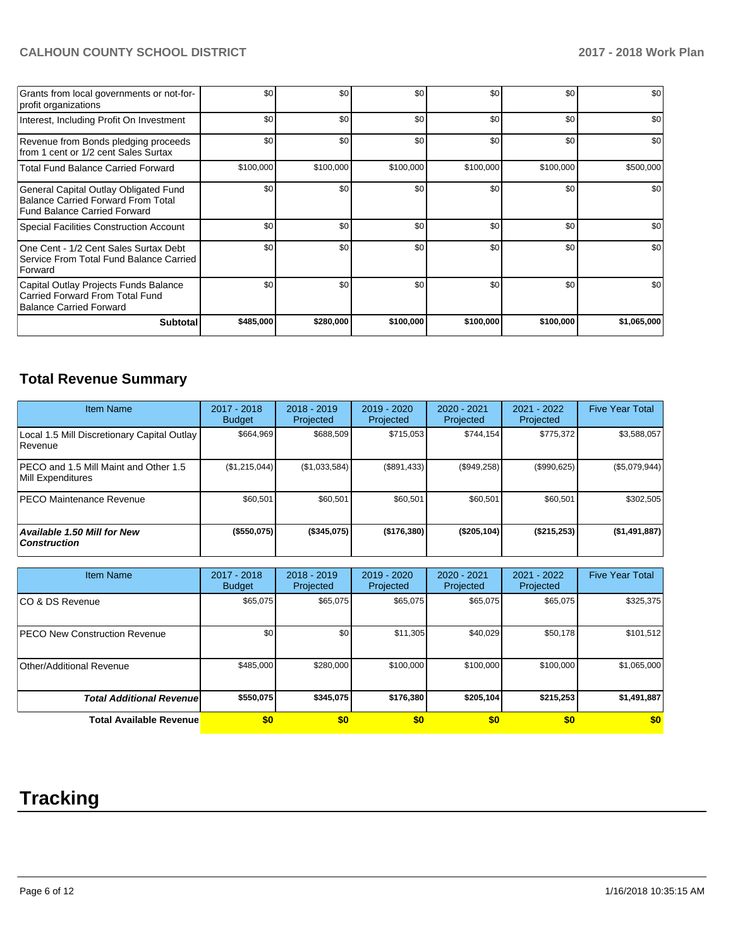# **CALHOUN COUNTY SCHOOL DISTRICT 2017 - 2018 Work Plan**

| Grants from local governments or not-for-<br>profit organizations                                                  | \$0       | \$0       | \$0       | \$0       | \$0       | \$0         |
|--------------------------------------------------------------------------------------------------------------------|-----------|-----------|-----------|-----------|-----------|-------------|
| Interest, Including Profit On Investment                                                                           | \$0       | \$0       | \$0       | \$0       | \$0       | \$0         |
| Revenue from Bonds pledging proceeds<br>from 1 cent or 1/2 cent Sales Surtax                                       | \$0       | \$0       | \$0       | \$0       | \$0       | \$0         |
| <b>Total Fund Balance Carried Forward</b>                                                                          | \$100,000 | \$100,000 | \$100,000 | \$100,000 | \$100,000 | \$500,000   |
| General Capital Outlay Obligated Fund<br><b>Balance Carried Forward From Total</b><br>Fund Balance Carried Forward | \$0       | \$0       | \$0       | \$0       | \$0       | \$0         |
| Special Facilities Construction Account                                                                            | \$0       | \$0       | \$0       | \$0       | \$0       | \$0         |
| One Cent - 1/2 Cent Sales Surtax Debt<br>Service From Total Fund Balance Carried<br>Forward                        | \$0       | \$0       | \$0       | \$0       | \$0       | \$0         |
| Capital Outlay Projects Funds Balance<br>Carried Forward From Total Fund<br>Balance Carried Forward                | \$0       | \$0       | \$0       | \$0       | \$0       | \$0         |
| <b>Subtotal</b>                                                                                                    | \$485,000 | \$280,000 | \$100,000 | \$100,000 | \$100,000 | \$1,065,000 |

# **Total Revenue Summary**

| <b>Item Name</b>                                           | 2017 - 2018<br><b>Budget</b> | $2018 - 2019$<br>Projected | 2019 - 2020<br>Projected | 2020 - 2021<br>Projected | 2021 - 2022<br>Projected | <b>Five Year Total</b> |
|------------------------------------------------------------|------------------------------|----------------------------|--------------------------|--------------------------|--------------------------|------------------------|
| Local 1.5 Mill Discretionary Capital Outlay<br>l Revenue   | \$664.969                    | \$688.509                  | \$715.053                | \$744.154                | \$775,372                | \$3,588,057            |
| PECO and 1.5 Mill Maint and Other 1.5<br>Mill Expenditures | (\$1,215,044)                | (\$1,033,584)              | (\$891,433)              | (\$949,258)              | (\$990,625)              | (\$5,079,944)          |
| <b>IPECO Maintenance Revenue</b>                           | \$60.501                     | \$60,501                   | \$60.501                 | \$60,501                 | \$60,501                 | \$302,505              |
| <b>Available 1.50 Mill for New</b><br><b>Construction</b>  | (\$550,075)                  | (\$345,075)                | (\$176,380)              | (\$205,104)              | (\$215,253)              | (\$1,491,887)          |

| <b>Item Name</b>                     | 2017 - 2018<br><b>Budget</b> | $2018 - 2019$<br>Projected | 2019 - 2020<br>Projected | 2020 - 2021<br>Projected | 2021 - 2022<br>Projected | <b>Five Year Total</b> |
|--------------------------------------|------------------------------|----------------------------|--------------------------|--------------------------|--------------------------|------------------------|
| ICO & DS Revenue                     | \$65,075                     | \$65,075                   | \$65,075                 | \$65,075                 | \$65,075                 | \$325,375              |
| <b>PECO New Construction Revenue</b> | \$0                          | \$0 <sub>1</sub>           | \$11,305                 | \$40,029                 | \$50,178                 | \$101,512              |
| Other/Additional Revenue             | \$485,000                    | \$280,000                  | \$100,000                | \$100,000                | \$100,000                | \$1,065,000            |
| <b>Total Additional Revenuel</b>     | \$550,075                    | \$345.075                  | \$176,380                | \$205,104                | \$215.253                | \$1,491,887            |
| <b>Total Available Revenue</b>       | \$0                          | \$0                        | \$0                      | \$0                      | \$0                      | \$0                    |

# **Tracking**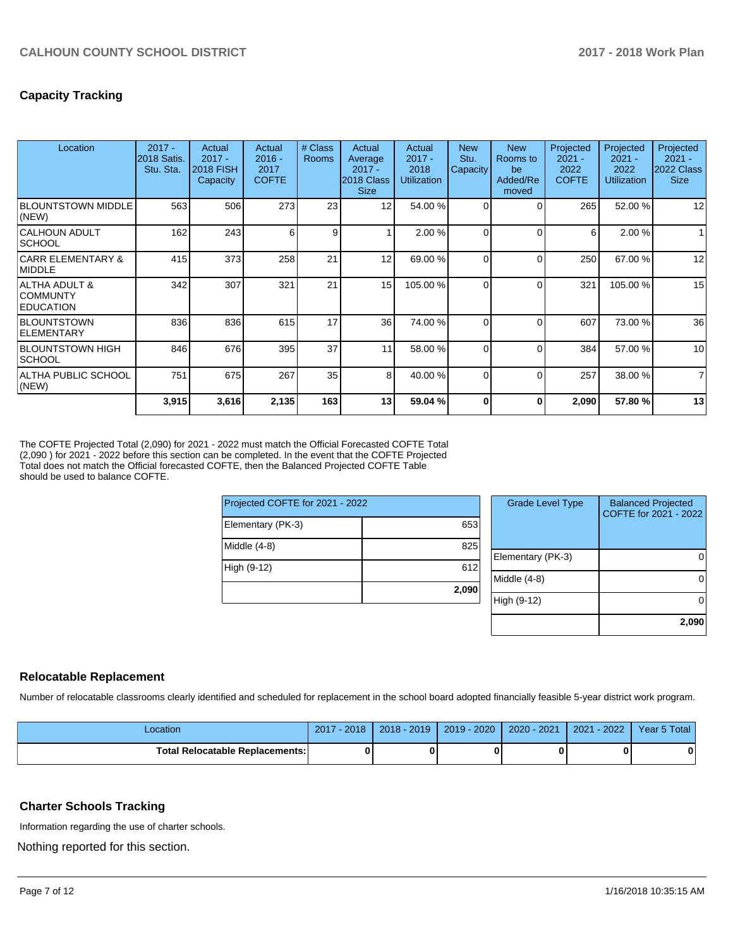# **Capacity Tracking**

| Location                                             | $2017 -$<br><b>2018 Satis.</b><br>Stu. Sta. | Actual<br>$2017 -$<br><b>2018 FISH</b><br>Capacity | Actual<br>$2016 -$<br>2017<br><b>COFTE</b> | # Class<br>Rooms | Actual<br>Average<br>$2017 -$<br>2018 Class<br><b>Size</b> | Actual<br>$2017 -$<br>2018<br><b>Utilization</b> | <b>New</b><br>Stu.<br>Capacity | <b>New</b><br>Rooms to<br>be<br>Added/Re<br>moved | Projected<br>$2021 -$<br>2022<br><b>COFTE</b> | Projected<br>$2021 -$<br>2022<br><b>Utilization</b> | Projected<br>$2021 -$<br>2022 Class<br><b>Size</b> |
|------------------------------------------------------|---------------------------------------------|----------------------------------------------------|--------------------------------------------|------------------|------------------------------------------------------------|--------------------------------------------------|--------------------------------|---------------------------------------------------|-----------------------------------------------|-----------------------------------------------------|----------------------------------------------------|
| <b>BLOUNTSTOWN MIDDLE</b><br>(NEW)                   | 563                                         | 506                                                | 273                                        | 23               | 12                                                         | 54.00 %                                          | $\Omega$                       | $\Omega$                                          | 265                                           | 52.00 %                                             | 12                                                 |
| CALHOUN ADULT<br><b>SCHOOL</b>                       | 162                                         | 243                                                | 6                                          | 9                |                                                            | 2.00 %                                           | $\Omega$                       | $\Omega$                                          | 6                                             | 2.00 %                                              |                                                    |
| <b>CARR ELEMENTARY &amp;</b><br><b>IMIDDLE</b>       | 415                                         | 373                                                | 258                                        | 21               | 12                                                         | 69.00 %                                          | $\Omega$                       | $\Omega$                                          | 250                                           | 67.00 %                                             | 12                                                 |
| ALTHA ADULT &<br><b>COMMUNTY</b><br><b>EDUCATION</b> | 342                                         | 307                                                | 321                                        | 21               | 15                                                         | 105.00 %                                         | $\Omega$                       | $\Omega$                                          | 321                                           | 105.00 %                                            | 15                                                 |
| <b>BLOUNTSTOWN</b><br><b>IELEMENTARY</b>             | 836                                         | 836                                                | 615                                        | 17               | 36                                                         | 74.00 %                                          | $\Omega$                       | $\Omega$                                          | 607                                           | 73.00 %                                             | 36                                                 |
| <b>BLOUNTSTOWN HIGH</b><br><b>SCHOOL</b>             | 846                                         | 676                                                | 395                                        | 37               | 11                                                         | 58.00 %                                          | $\Omega$                       | $\Omega$                                          | 384                                           | 57.00 %                                             | 10                                                 |
| ALTHA PUBLIC SCHOOL<br>(NEW)                         | 751                                         | 675                                                | 267                                        | 35               | 8                                                          | 40.00 %                                          | $\Omega$                       | $\Omega$                                          | 257                                           | 38.00 %                                             | $\overline{7}$                                     |
|                                                      | 3,915                                       | 3,616                                              | 2,135                                      | 163              | 13 <sup>1</sup>                                            | 59.04 %                                          | O                              | 0                                                 | 2,090                                         | 57.80 %                                             | 13                                                 |

The COFTE Projected Total (2,090) for 2021 - 2022 must match the Official Forecasted COFTE Total (2,090 ) for 2021 - 2022 before this section can be completed. In the event that the COFTE Projected Total does not match the Official forecasted COFTE, then the Balanced Projected COFTE Table should be used to balance COFTE.

| Projected COFTE for 2021 - 2022 |       | <b>Grade Level Type</b> | <b>Balanced Projected</b><br>COFTE for 2021 - 2022 |  |
|---------------------------------|-------|-------------------------|----------------------------------------------------|--|
| Elementary (PK-3)               | 653   |                         |                                                    |  |
| Middle (4-8)                    | 825   |                         |                                                    |  |
|                                 |       | Elementary (PK-3)       | 0                                                  |  |
| High (9-12)                     | 612   |                         |                                                    |  |
|                                 |       | Middle (4-8)            | 0                                                  |  |
|                                 | 2,090 |                         |                                                    |  |
|                                 |       | High (9-12)             | 0                                                  |  |
|                                 |       |                         |                                                    |  |

#### **Relocatable Replacement**

Number of relocatable classrooms clearly identified and scheduled for replacement in the school board adopted financially feasible 5-year district work program.

| Location                               | 2018<br>2017 | $2018 - 2019$ | 2019 - 2020 | 2020 - 2021 | $-2022$<br>2021 | Year 5 Total |
|----------------------------------------|--------------|---------------|-------------|-------------|-----------------|--------------|
| <b>Total Relocatable Replacements:</b> |              |               |             |             |                 |              |

#### **Charter Schools Tracking**

Information regarding the use of charter schools.

Nothing reported for this section.

**2,090**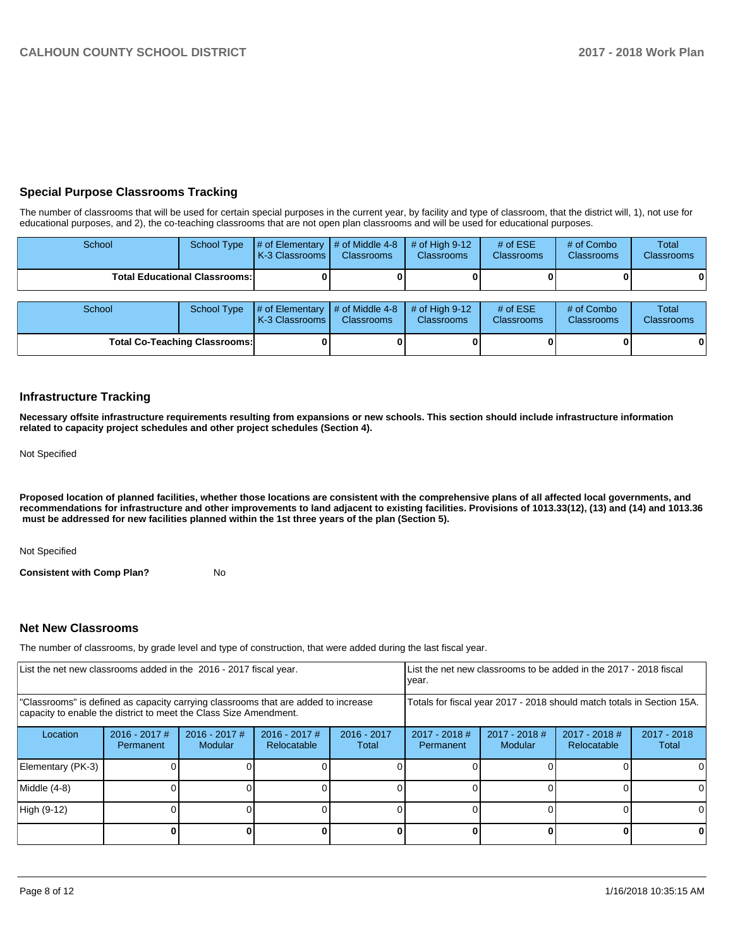### **Special Purpose Classrooms Tracking**

The number of classrooms that will be used for certain special purposes in the current year, by facility and type of classroom, that the district will, 1), not use for educational purposes, and 2), the co-teaching classrooms that are not open plan classrooms and will be used for educational purposes.

| School                               |  | School Type $\left  \frac{1}{2}$ of Elementary $\left  \frac{1}{2}$ of Middle 4-8 $\left  \frac{1}{2}$ of High 9-12<br><b>K-3 Classrooms I</b> | <b>Classrooms</b> | <b>Classrooms</b> | # of $ESE$<br><b>Classrooms</b> | # of Combo<br><b>Classrooms</b> | Total<br><b>Classrooms</b> |
|--------------------------------------|--|------------------------------------------------------------------------------------------------------------------------------------------------|-------------------|-------------------|---------------------------------|---------------------------------|----------------------------|
| <b>Total Educational Classrooms:</b> |  |                                                                                                                                                |                   |                   |                                 | 0                               |                            |

| School                               |  | School Type $\left  \frac{1}{2}$ of Elementary $\left  \frac{1}{2}$ of Middle 4-8 $\right $ # of High 9-12<br><b>IK-3 Classrooms L</b> | <b>Classrooms</b> | <b>Classrooms</b> | # of $ESE$<br><b>Classrooms</b> | # of Combo<br><b>Classrooms</b> | Total<br><b>Classrooms</b> |
|--------------------------------------|--|----------------------------------------------------------------------------------------------------------------------------------------|-------------------|-------------------|---------------------------------|---------------------------------|----------------------------|
| <b>Total Co-Teaching Classrooms:</b> |  |                                                                                                                                        |                   |                   |                                 | 01                              | 01                         |

#### **Infrastructure Tracking**

**Necessary offsite infrastructure requirements resulting from expansions or new schools. This section should include infrastructure information related to capacity project schedules and other project schedules (Section 4).** 

Not Specified

**Proposed location of planned facilities, whether those locations are consistent with the comprehensive plans of all affected local governments, and recommendations for infrastructure and other improvements to land adjacent to existing facilities. Provisions of 1013.33(12), (13) and (14) and 1013.36 must be addressed for new facilities planned within the 1st three years of the plan (Section 5).** 

Not Specified

**Consistent with Comp Plan?** No

#### **Net New Classrooms**

The number of classrooms, by grade level and type of construction, that were added during the last fiscal year.

| List the net new classrooms added in the 2016 - 2017 fiscal year.                                                                                       |                              |                                   |                                |                        | List the net new classrooms to be added in the 2017 - 2018 fiscal<br>year. |                          |                              |                        |
|---------------------------------------------------------------------------------------------------------------------------------------------------------|------------------------------|-----------------------------------|--------------------------------|------------------------|----------------------------------------------------------------------------|--------------------------|------------------------------|------------------------|
| "Classrooms" is defined as capacity carrying classrooms that are added to increase<br>capacity to enable the district to meet the Class Size Amendment. |                              |                                   |                                |                        | Totals for fiscal year 2017 - 2018 should match totals in Section 15A.     |                          |                              |                        |
| Location                                                                                                                                                | $2016 - 2017$ #<br>Permanent | $2016 - 2017$ #<br><b>Modular</b> | $2016 - 2017$ #<br>Relocatable | $2016 - 2017$<br>Total | $2017 - 2018$ #<br>Permanent                                               | 2017 - 2018 #<br>Modular | 2017 - 2018 #<br>Relocatable | $2017 - 2018$<br>Total |
| Elementary (PK-3)                                                                                                                                       |                              |                                   |                                |                        |                                                                            |                          |                              |                        |
| Middle (4-8)                                                                                                                                            |                              |                                   |                                |                        |                                                                            |                          |                              |                        |
| High (9-12)                                                                                                                                             |                              |                                   |                                |                        |                                                                            |                          |                              |                        |
|                                                                                                                                                         |                              |                                   |                                |                        |                                                                            |                          |                              | 0                      |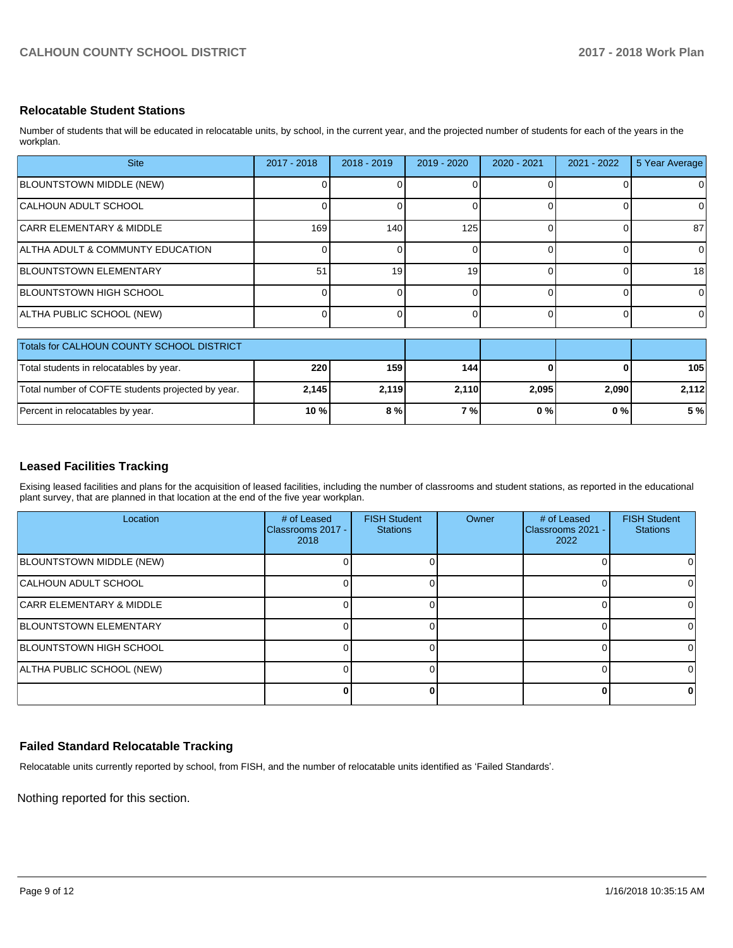#### **Relocatable Student Stations**

Number of students that will be educated in relocatable units, by school, in the current year, and the projected number of students for each of the years in the workplan.

| <b>Site</b>                                       | $2017 - 2018$ | $2018 - 2019$ | $2019 - 2020$  | $2020 - 2021$ | $2021 - 2022$ | 5 Year Average |
|---------------------------------------------------|---------------|---------------|----------------|---------------|---------------|----------------|
| BLOUNTSTOWN MIDDLE (NEW)                          |               |               | 0              |               |               | 0              |
| CALHOUN ADULT SCHOOL                              |               |               | 01             | $\Omega$      |               | 0              |
| <b>CARR ELEMENTARY &amp; MIDDLE</b>               | 169           | 140           | 125            | $\Omega$      |               | 87             |
| ALTHA ADULT & COMMUNTY EDUCATION                  |               |               | 0              | ∩             |               | $\Omega$       |
| BLOUNTSTOWN ELEMENTARY                            | 51            | 19            | 19             | $\Omega$      |               | 18             |
| <b>BLOUNTSTOWN HIGH SCHOOL</b>                    |               |               | 0              | $\Omega$      |               | $\Omega$       |
| ALTHA PUBLIC SCHOOL (NEW)                         |               |               | $\overline{0}$ | $\Omega$      | 0             | 0              |
| Totals for CALHOUN COUNTY SCHOOL DISTRICT         |               |               |                |               |               |                |
| Total students in relocatables by year.           | 220           | 159           | 144            |               |               | 105            |
| Total number of COFTE students projected by year. | 2,145         | 2,119         | 2,110          | 2,095         | 2,090         | 2,112          |
| Percent in relocatables by year.                  | 10 %          | 8 %           | 7%             | 0%            | 0%            | 5 %            |

#### **Leased Facilities Tracking**

Exising leased facilities and plans for the acquisition of leased facilities, including the number of classrooms and student stations, as reported in the educational plant survey, that are planned in that location at the end of the five year workplan.

| Location                            | # of Leased<br>Classrooms 2017 -<br>2018 | <b>FISH Student</b><br><b>Stations</b> | Owner | # of Leased<br>Classrooms 2021 -<br>2022 | <b>FISH Student</b><br><b>Stations</b> |
|-------------------------------------|------------------------------------------|----------------------------------------|-------|------------------------------------------|----------------------------------------|
| BLOUNTSTOWN MIDDLE (NEW)            |                                          |                                        |       |                                          |                                        |
| CALHOUN ADULT SCHOOL                |                                          |                                        |       |                                          |                                        |
| <b>CARR ELEMENTARY &amp; MIDDLE</b> |                                          |                                        |       |                                          |                                        |
| <b>BLOUNTSTOWN ELEMENTARY</b>       |                                          |                                        |       |                                          |                                        |
| <b>BLOUNTSTOWN HIGH SCHOOL</b>      |                                          |                                        |       |                                          |                                        |
| ALTHA PUBLIC SCHOOL (NEW)           |                                          |                                        |       |                                          |                                        |
|                                     |                                          |                                        |       |                                          | 0                                      |

#### **Failed Standard Relocatable Tracking**

Relocatable units currently reported by school, from FISH, and the number of relocatable units identified as 'Failed Standards'.

Nothing reported for this section.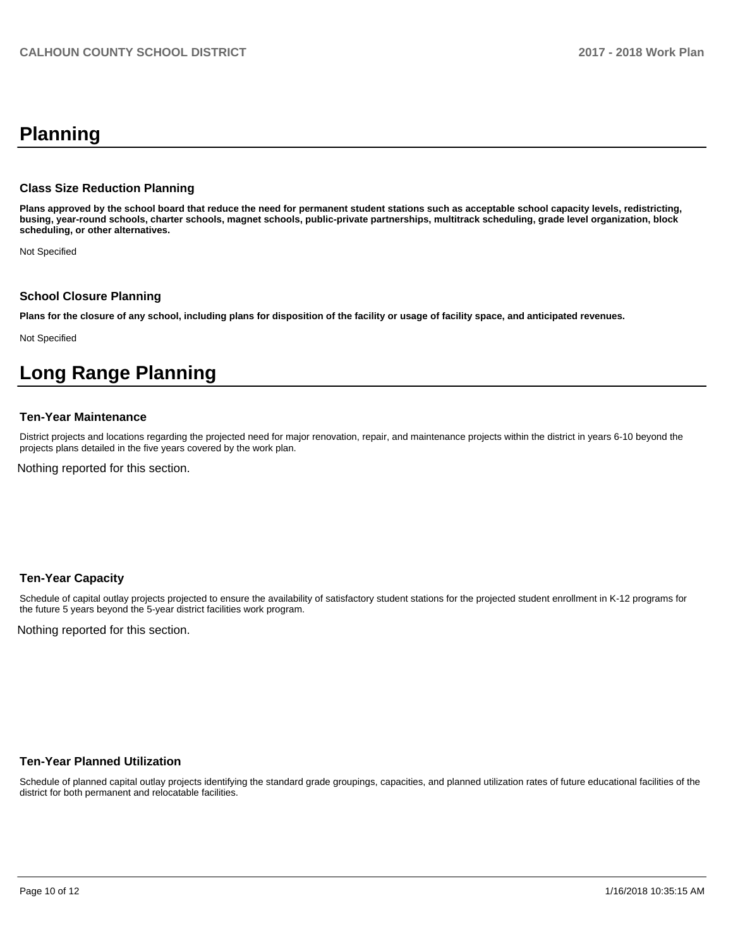# **Planning**

#### **Class Size Reduction Planning**

**Plans approved by the school board that reduce the need for permanent student stations such as acceptable school capacity levels, redistricting, busing, year-round schools, charter schools, magnet schools, public-private partnerships, multitrack scheduling, grade level organization, block scheduling, or other alternatives.**

Not Specified

#### **School Closure Planning**

**Plans for the closure of any school, including plans for disposition of the facility or usage of facility space, and anticipated revenues.** 

Not Specified

# **Long Range Planning**

#### **Ten-Year Maintenance**

District projects and locations regarding the projected need for major renovation, repair, and maintenance projects within the district in years 6-10 beyond the projects plans detailed in the five years covered by the work plan.

Nothing reported for this section.

#### **Ten-Year Capacity**

Schedule of capital outlay projects projected to ensure the availability of satisfactory student stations for the projected student enrollment in K-12 programs for the future 5 years beyond the 5-year district facilities work program.

Nothing reported for this section.

#### **Ten-Year Planned Utilization**

Schedule of planned capital outlay projects identifying the standard grade groupings, capacities, and planned utilization rates of future educational facilities of the district for both permanent and relocatable facilities.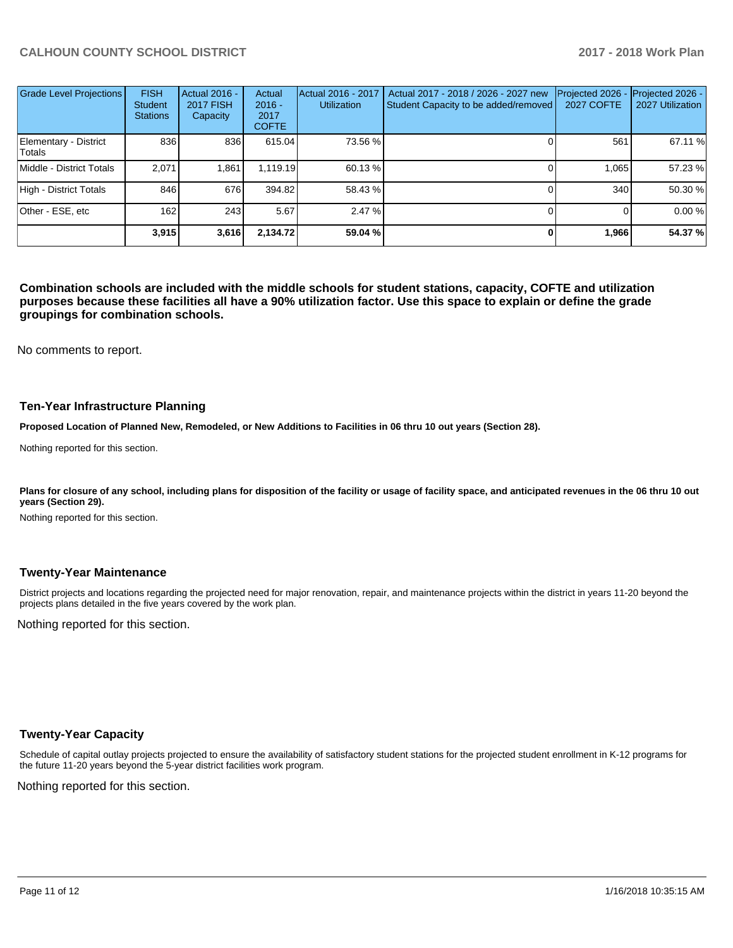## **CALHOUN COUNTY SCHOOL DISTRICT 2017 - 2018 Work Plan**

| <b>Grade Level Projections</b>  | <b>FISH</b><br><b>Student</b><br><b>Stations</b> | Actual 2016 -<br><b>2017 FISH</b><br>Capacity | Actual<br>$2016 -$<br>2017<br><b>COFTE</b> | Actual 2016 - 2017<br><b>Utilization</b> | Actual 2017 - 2018 / 2026 - 2027 new<br>Student Capacity to be added/removed | Projected 2026<br><b>2027 COFTE</b> | Projected 2026 -<br>2027 Utilization |
|---------------------------------|--------------------------------------------------|-----------------------------------------------|--------------------------------------------|------------------------------------------|------------------------------------------------------------------------------|-------------------------------------|--------------------------------------|
| Elementary - District<br>Totals | 836                                              | 836                                           | 615.04                                     | 73.56 %                                  |                                                                              | 561                                 | 67.11 %                              |
| Middle - District Totals        | 2.071                                            | 1,861                                         | 1.119.19                                   | 60.13 %                                  |                                                                              | 1.065                               | 57.23 %                              |
| High - District Totals          | 846                                              | 676                                           | 394.82                                     | 58.43 %                                  |                                                                              | 340                                 | 50.30 %                              |
| Other - ESE, etc                | 162                                              | 243                                           | 5.67                                       | 2.47%                                    |                                                                              |                                     | 0.00 %                               |
|                                 | 3,915                                            | 3,616                                         | 2,134.72                                   | 59.04 %                                  |                                                                              | 1,966                               | 54.37 %                              |

**Combination schools are included with the middle schools for student stations, capacity, COFTE and utilization purposes because these facilities all have a 90% utilization factor. Use this space to explain or define the grade groupings for combination schools.** 

No comments to report.

#### **Ten-Year Infrastructure Planning**

**Proposed Location of Planned New, Remodeled, or New Additions to Facilities in 06 thru 10 out years (Section 28).**

Nothing reported for this section.

Plans for closure of any school, including plans for disposition of the facility or usage of facility space, and anticipated revenues in the 06 thru 10 out **years (Section 29).**

Nothing reported for this section.

#### **Twenty-Year Maintenance**

District projects and locations regarding the projected need for major renovation, repair, and maintenance projects within the district in years 11-20 beyond the projects plans detailed in the five years covered by the work plan.

Nothing reported for this section.

#### **Twenty-Year Capacity**

Schedule of capital outlay projects projected to ensure the availability of satisfactory student stations for the projected student enrollment in K-12 programs for the future 11-20 years beyond the 5-year district facilities work program.

Nothing reported for this section.